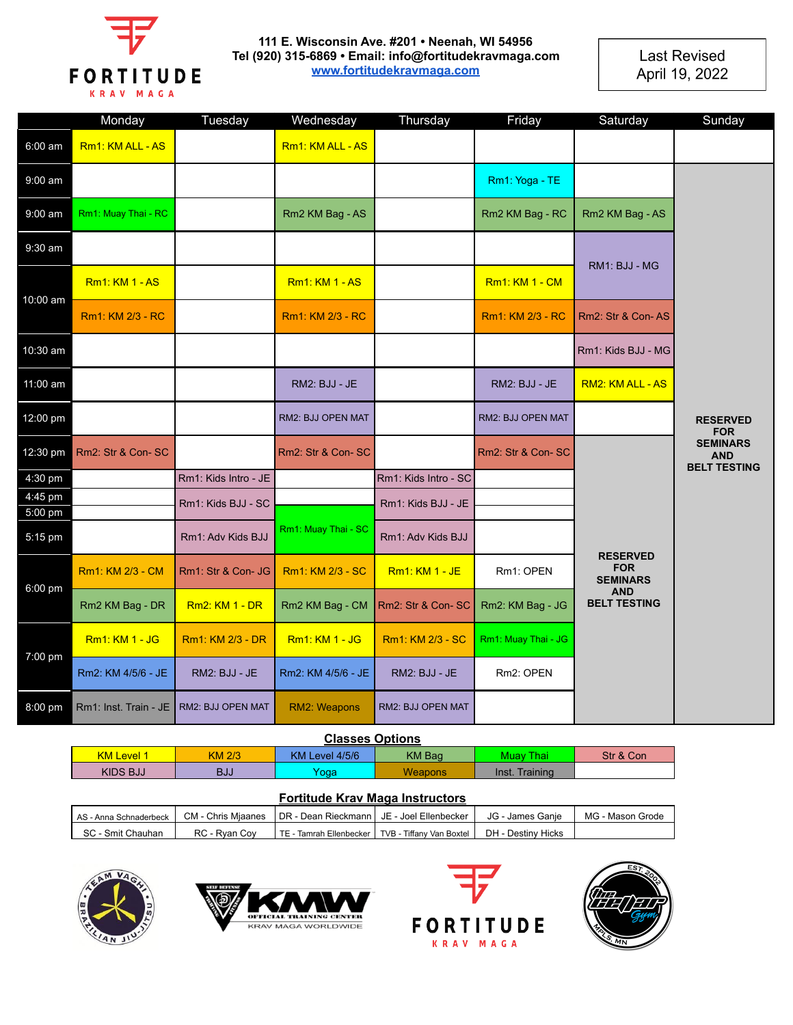

## **111 E. Wisconsin Ave. #201 • Neenah, WI 54956 Tel (920) 315-6869 • Email: info@fortitudekravmaga.com www.fortitudekravmaga.com**

**Last Revised** April 19, 2022

|                    | Monday                                  | Tuesday               | Wednesday             | Thursday              | Friday                | Saturday                                                                              | Sunday                                               |
|--------------------|-----------------------------------------|-----------------------|-----------------------|-----------------------|-----------------------|---------------------------------------------------------------------------------------|------------------------------------------------------|
| 6:00 am            | Rm1: KM ALL - AS                        |                       | Rm1: KM ALL - AS      |                       |                       |                                                                                       |                                                      |
| $9:00$ am          |                                         |                       |                       |                       | Rm1: Yoga - TE        |                                                                                       |                                                      |
| $9:00$ am          | Rm1: Muay Thai - RC                     |                       | Rm2 KM Bag - AS       |                       | Rm2 KM Bag - RC       | Rm2 KM Bag - AS                                                                       |                                                      |
| 9:30 am            |                                         |                       |                       |                       |                       |                                                                                       |                                                      |
| 10:00 am           | <b>Rm1: KM 1 - AS</b>                   |                       | <b>Rm1: KM 1 - AS</b> |                       | <b>Rm1: KM 1 - CM</b> | RM1: BJJ - MG                                                                         |                                                      |
|                    | Rm1: KM 2/3 - RC                        |                       | Rm1: KM 2/3 - RC      |                       | Rm1: KM 2/3 - RC      | Rm2: Str & Con-AS                                                                     |                                                      |
| 10:30 am           |                                         |                       |                       |                       |                       | Rm1: Kids BJJ - MG                                                                    |                                                      |
| 11:00 am           |                                         |                       | RM2: BJJ - JE         |                       | RM2: BJJ - JE         | RM2: KM ALL - AS                                                                      |                                                      |
| 12:00 pm           |                                         |                       | RM2: BJJ OPEN MAT     |                       | RM2: BJJ OPEN MAT     |                                                                                       | <b>RESERVED</b><br><b>FOR</b>                        |
| 12:30 pm           | Rm2: Str & Con-SC                       |                       | Rm2: Str & Con-SC     |                       | Rm2: Str & Con-SC     |                                                                                       | <b>SEMINARS</b><br><b>AND</b><br><b>BELT TESTING</b> |
| 4:30 pm            |                                         | Rm1: Kids Intro - JE  |                       | Rm1: Kids Intro - SC  |                       |                                                                                       |                                                      |
| 4:45 pm<br>5:00 pm |                                         | Rm1: Kids BJJ - SC    |                       | Rm1: Kids BJJ - JE    |                       |                                                                                       |                                                      |
| 5:15 pm            |                                         | Rm1: Adv Kids BJJ     | Rm1: Muay Thai - SC   | Rm1: Adv Kids BJJ     |                       |                                                                                       |                                                      |
| 6:00 pm            | Rm1: KM 2/3 - CM                        | Rm1: Str & Con- JG    | Rm1: KM 2/3 - SC      | <b>Rm1: KM 1 - JE</b> | Rm1: OPEN             | <b>RESERVED</b><br><b>FOR</b><br><b>SEMINARS</b><br><b>AND</b><br><b>BELT TESTING</b> |                                                      |
|                    | Rm2 KM Bag - DR                         | <b>Rm2: KM 1 - DR</b> | Rm2 KM Bag - CM       | Rm2: Str & Con-SC     | Rm2: KM Bag - JG      |                                                                                       |                                                      |
| 7:00 pm            | Rm1: KM 1 - JG                          | Rm1: KM 2/3 - DR      | <b>Rm1: KM 1 - JG</b> | Rm1: KM 2/3 - SC      | Rm1: Muay Thai - JG   |                                                                                       |                                                      |
|                    | Rm2: KM 4/5/6 - JE                      | RM2: BJJ - JE         | Rm2: KM 4/5/6 - JE    | RM2: BJJ - JE         | Rm2: OPEN             |                                                                                       |                                                      |
| 8:00 pm            | Rm1: Inst. Train - JE RM2: BJJ OPEN MAT |                       | RM2: Weapons          | RM2: BJJ OPEN MAT     |                       |                                                                                       |                                                      |

## **Classes Options**

| - - - - - - - - - - - - |               |                                 |                |                |           |
|-------------------------|---------------|---------------------------------|----------------|----------------|-----------|
| <b>KM Level 1</b>       | <b>KM 2/3</b> | KM Level 4/5/6<br><b>KM Bag</b> |                | Muav Thai      | Str & Con |
| KIDS BJJ                | BJJ           | Yoqa                            | <b>Weapons</b> | Inst. Training |           |

## **Fortitude Krav Maga Instructors**

| AS - Anna Schnaderbeck | <b>CM</b> - Chris Miaanes | I DR - Dean Rieckmann               | JE - Joel Ellenbecker    | JG - James Ganie   | MG - Mason Grode |
|------------------------|---------------------------|-------------------------------------|--------------------------|--------------------|------------------|
| SC<br>Smit Chauhan     | $RC -$<br>Rvan Cov        | <b>TE</b><br>- Tamrah Ellenbecker I | TVB - Tiffany Van Boxtel | DH - Destiny Hicks |                  |